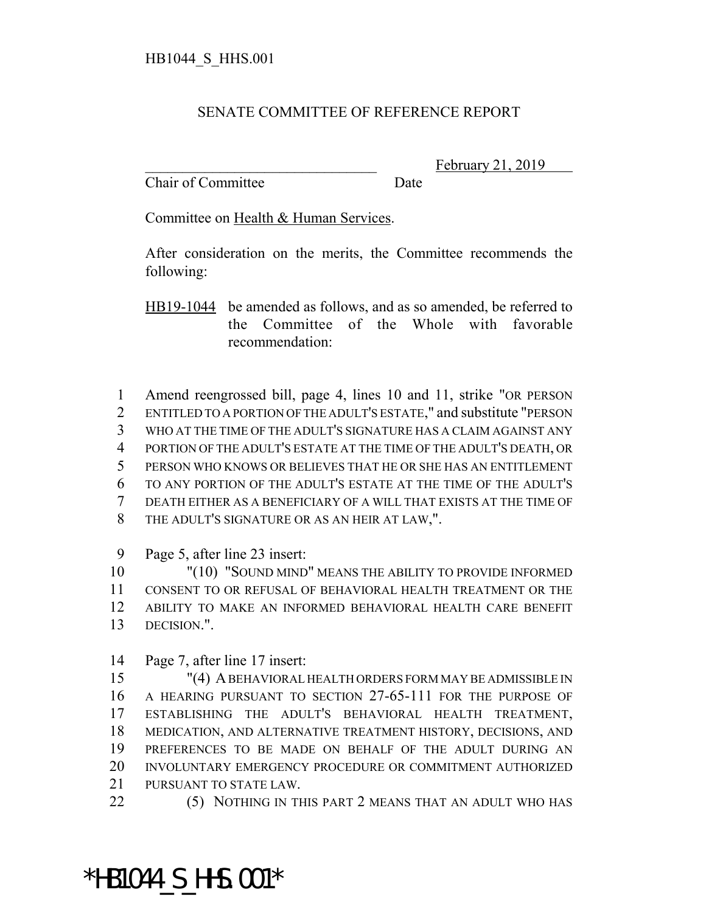## SENATE COMMITTEE OF REFERENCE REPORT

Chair of Committee Date

February 21, 2019

Committee on Health & Human Services.

After consideration on the merits, the Committee recommends the following:

HB19-1044 be amended as follows, and as so amended, be referred to the Committee of the Whole with favorable recommendation:

 Amend reengrossed bill, page 4, lines 10 and 11, strike "OR PERSON ENTITLED TO A PORTION OF THE ADULT'S ESTATE," and substitute "PERSON WHO AT THE TIME OF THE ADULT'S SIGNATURE HAS A CLAIM AGAINST ANY PORTION OF THE ADULT'S ESTATE AT THE TIME OF THE ADULT'S DEATH, OR PERSON WHO KNOWS OR BELIEVES THAT HE OR SHE HAS AN ENTITLEMENT TO ANY PORTION OF THE ADULT'S ESTATE AT THE TIME OF THE ADULT'S DEATH EITHER AS A BENEFICIARY OF A WILL THAT EXISTS AT THE TIME OF THE ADULT'S SIGNATURE OR AS AN HEIR AT LAW,".

Page 5, after line 23 insert:

 "(10) "SOUND MIND" MEANS THE ABILITY TO PROVIDE INFORMED CONSENT TO OR REFUSAL OF BEHAVIORAL HEALTH TREATMENT OR THE ABILITY TO MAKE AN INFORMED BEHAVIORAL HEALTH CARE BENEFIT DECISION.".

Page 7, after line 17 insert:

 "(4) A BEHAVIORAL HEALTH ORDERS FORM MAY BE ADMISSIBLE IN A HEARING PURSUANT TO SECTION 27-65-111 FOR THE PURPOSE OF ESTABLISHING THE ADULT'S BEHAVIORAL HEALTH TREATMENT, MEDICATION, AND ALTERNATIVE TREATMENT HISTORY, DECISIONS, AND PREFERENCES TO BE MADE ON BEHALF OF THE ADULT DURING AN INVOLUNTARY EMERGENCY PROCEDURE OR COMMITMENT AUTHORIZED PURSUANT TO STATE LAW.

(5) NOTHING IN THIS PART 2 MEANS THAT AN ADULT WHO HAS

\*HB1044\_S\_HHS.001\*